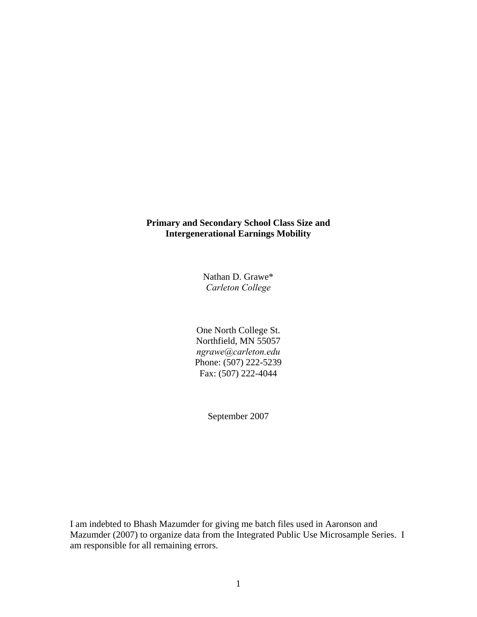# **Primary and Secondary School Class Size and Intergenerational Earnings Mobility**

Nathan D. Grawe\* *Carleton College* 

One North College St. Northfield, MN 55057 *ngrawe@carleton.edu*  Phone: (507) 222-5239 Fax: (507) 222-4044

September 2007

I am indebted to Bhash Mazumder for giving me batch files used in Aaronson and Mazumder (2007) to organize data from the Integrated Public Use Microsample Series. I am responsible for all remaining errors.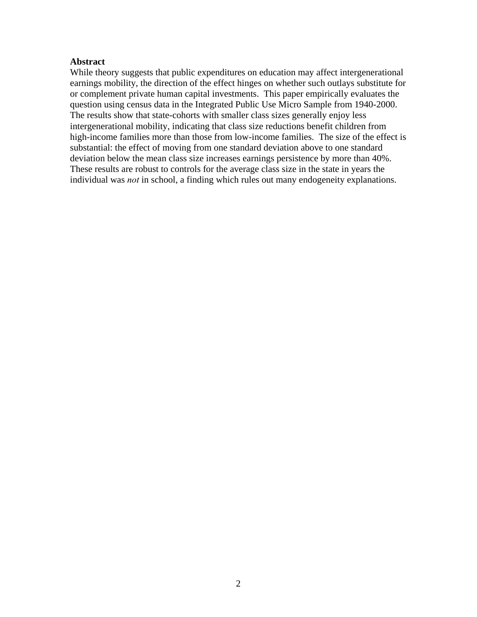# **Abstract**

While theory suggests that public expenditures on education may affect intergenerational earnings mobility, the direction of the effect hinges on whether such outlays substitute for or complement private human capital investments. This paper empirically evaluates the question using census data in the Integrated Public Use Micro Sample from 1940-2000. The results show that state-cohorts with smaller class sizes generally enjoy less intergenerational mobility, indicating that class size reductions benefit children from high-income families more than those from low-income families. The size of the effect is substantial: the effect of moving from one standard deviation above to one standard deviation below the mean class size increases earnings persistence by more than 40%. These results are robust to controls for the average class size in the state in years the individual was *not* in school, a finding which rules out many endogeneity explanations.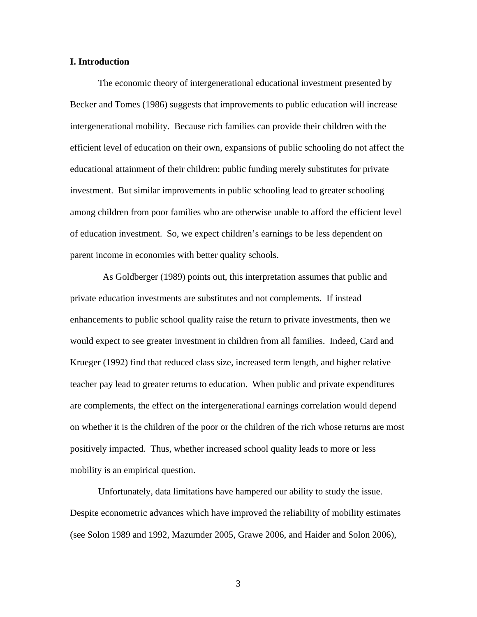# **I. Introduction**

 The economic theory of intergenerational educational investment presented by Becker and Tomes (1986) suggests that improvements to public education will increase intergenerational mobility. Because rich families can provide their children with the efficient level of education on their own, expansions of public schooling do not affect the educational attainment of their children: public funding merely substitutes for private investment. But similar improvements in public schooling lead to greater schooling among children from poor families who are otherwise unable to afford the efficient level of education investment. So, we expect children's earnings to be less dependent on parent income in economies with better quality schools.

 As Goldberger (1989) points out, this interpretation assumes that public and private education investments are substitutes and not complements. If instead enhancements to public school quality raise the return to private investments, then we would expect to see greater investment in children from all families. Indeed, Card and Krueger (1992) find that reduced class size, increased term length, and higher relative teacher pay lead to greater returns to education. When public and private expenditures are complements, the effect on the intergenerational earnings correlation would depend on whether it is the children of the poor or the children of the rich whose returns are most positively impacted. Thus, whether increased school quality leads to more or less mobility is an empirical question.

 Unfortunately, data limitations have hampered our ability to study the issue. Despite econometric advances which have improved the reliability of mobility estimates (see Solon 1989 and 1992, Mazumder 2005, Grawe 2006, and Haider and Solon 2006),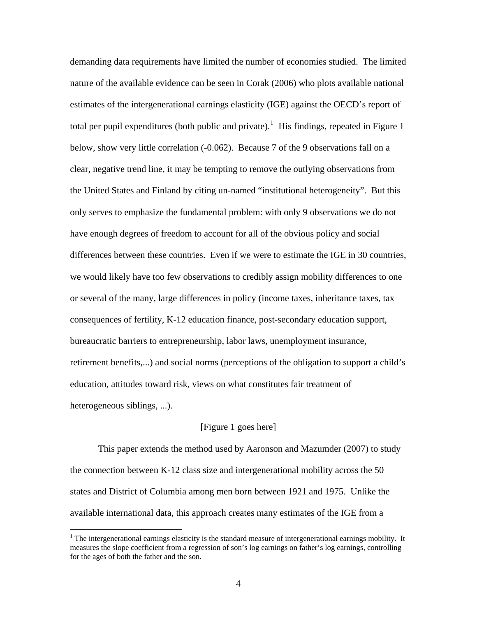demanding data requirements have limited the number of economies studied. The limited nature of the available evidence can be seen in Corak (2006) who plots available national estimates of the intergenerational earnings elasticity (IGE) against the OECD's report of total per pupil expenditures (both public and private).<sup>[1](#page-3-0)</sup> His findings, repeated in Figure 1 below, show very little correlation (-0.062). Because 7 of the 9 observations fall on a clear, negative trend line, it may be tempting to remove the outlying observations from the United States and Finland by citing un-named "institutional heterogeneity". But this only serves to emphasize the fundamental problem: with only 9 observations we do not have enough degrees of freedom to account for all of the obvious policy and social differences between these countries. Even if we were to estimate the IGE in 30 countries, we would likely have too few observations to credibly assign mobility differences to one or several of the many, large differences in policy (income taxes, inheritance taxes, tax consequences of fertility, K-12 education finance, post-secondary education support, bureaucratic barriers to entrepreneurship, labor laws, unemployment insurance, retirement benefits,...) and social norms (perceptions of the obligation to support a child's education, attitudes toward risk, views on what constitutes fair treatment of heterogeneous siblings, ...).

#### [Figure 1 goes here]

 This paper extends the method used by Aaronson and Mazumder (2007) to study the connection between K-12 class size and intergenerational mobility across the 50 states and District of Columbia among men born between 1921 and 1975. Unlike the available international data, this approach creates many estimates of the IGE from a

 $\overline{a}$ 

<span id="page-3-0"></span> $<sup>1</sup>$  The intergenerational earnings elasticity is the standard measure of intergenerational earnings mobility. It</sup> measures the slope coefficient from a regression of son's log earnings on father's log earnings, controlling for the ages of both the father and the son.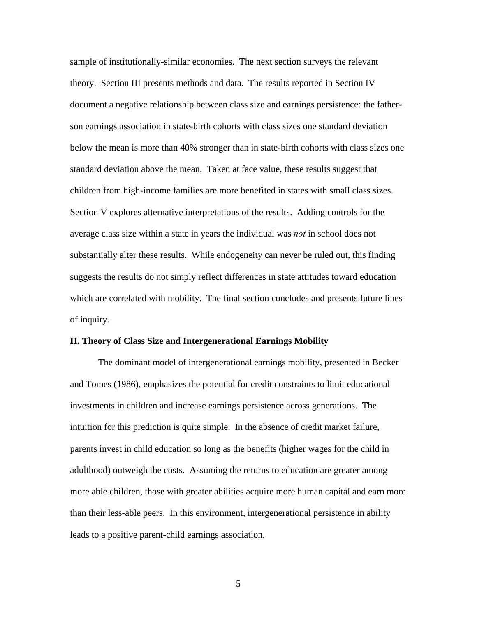sample of institutionally-similar economies. The next section surveys the relevant theory. Section III presents methods and data. The results reported in Section IV document a negative relationship between class size and earnings persistence: the fatherson earnings association in state-birth cohorts with class sizes one standard deviation below the mean is more than 40% stronger than in state-birth cohorts with class sizes one standard deviation above the mean. Taken at face value, these results suggest that children from high-income families are more benefited in states with small class sizes. Section V explores alternative interpretations of the results. Adding controls for the average class size within a state in years the individual was *not* in school does not substantially alter these results. While endogeneity can never be ruled out, this finding suggests the results do not simply reflect differences in state attitudes toward education which are correlated with mobility. The final section concludes and presents future lines of inquiry.

#### **II. Theory of Class Size and Intergenerational Earnings Mobility**

 The dominant model of intergenerational earnings mobility, presented in Becker and Tomes (1986), emphasizes the potential for credit constraints to limit educational investments in children and increase earnings persistence across generations. The intuition for this prediction is quite simple. In the absence of credit market failure, parents invest in child education so long as the benefits (higher wages for the child in adulthood) outweigh the costs. Assuming the returns to education are greater among more able children, those with greater abilities acquire more human capital and earn more than their less-able peers. In this environment, intergenerational persistence in ability leads to a positive parent-child earnings association.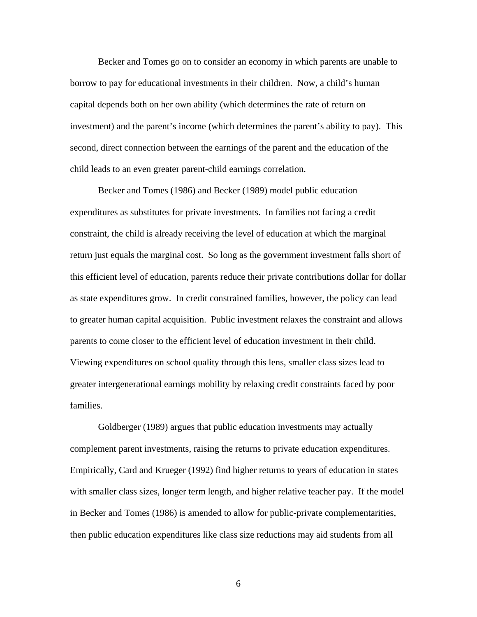Becker and Tomes go on to consider an economy in which parents are unable to borrow to pay for educational investments in their children. Now, a child's human capital depends both on her own ability (which determines the rate of return on investment) and the parent's income (which determines the parent's ability to pay). This second, direct connection between the earnings of the parent and the education of the child leads to an even greater parent-child earnings correlation.

 Becker and Tomes (1986) and Becker (1989) model public education expenditures as substitutes for private investments. In families not facing a credit constraint, the child is already receiving the level of education at which the marginal return just equals the marginal cost. So long as the government investment falls short of this efficient level of education, parents reduce their private contributions dollar for dollar as state expenditures grow. In credit constrained families, however, the policy can lead to greater human capital acquisition. Public investment relaxes the constraint and allows parents to come closer to the efficient level of education investment in their child. Viewing expenditures on school quality through this lens, smaller class sizes lead to greater intergenerational earnings mobility by relaxing credit constraints faced by poor families.

 Goldberger (1989) argues that public education investments may actually complement parent investments, raising the returns to private education expenditures. Empirically, Card and Krueger (1992) find higher returns to years of education in states with smaller class sizes, longer term length, and higher relative teacher pay. If the model in Becker and Tomes (1986) is amended to allow for public-private complementarities, then public education expenditures like class size reductions may aid students from all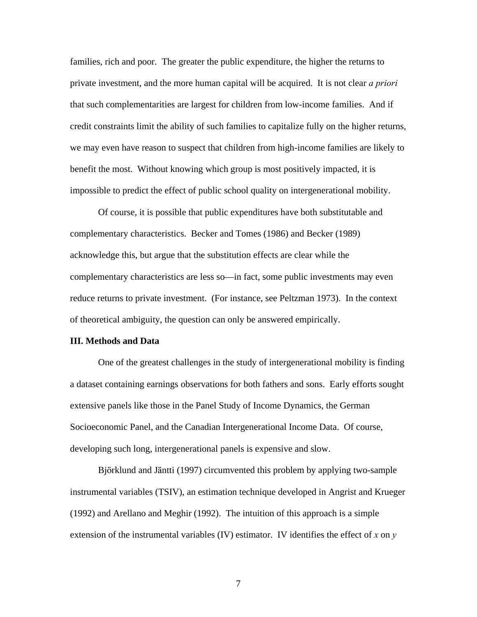families, rich and poor. The greater the public expenditure, the higher the returns to private investment, and the more human capital will be acquired. It is not clear *a priori*  that such complementarities are largest for children from low-income families. And if credit constraints limit the ability of such families to capitalize fully on the higher returns, we may even have reason to suspect that children from high-income families are likely to benefit the most. Without knowing which group is most positively impacted, it is impossible to predict the effect of public school quality on intergenerational mobility.

 Of course, it is possible that public expenditures have both substitutable and complementary characteristics. Becker and Tomes (1986) and Becker (1989) acknowledge this, but argue that the substitution effects are clear while the complementary characteristics are less so—in fact, some public investments may even reduce returns to private investment. (For instance, see Peltzman 1973). In the context of theoretical ambiguity, the question can only be answered empirically.

#### **III. Methods and Data**

 One of the greatest challenges in the study of intergenerational mobility is finding a dataset containing earnings observations for both fathers and sons. Early efforts sought extensive panels like those in the Panel Study of Income Dynamics, the German Socioeconomic Panel, and the Canadian Intergenerational Income Data. Of course, developing such long, intergenerational panels is expensive and slow.

Björklund and Jäntti (1997) circumvented this problem by applying two-sample instrumental variables (TSIV), an estimation technique developed in Angrist and Krueger (1992) and Arellano and Meghir (1992). The intuition of this approach is a simple extension of the instrumental variables (IV) estimator. IV identifies the effect of *x* on *y*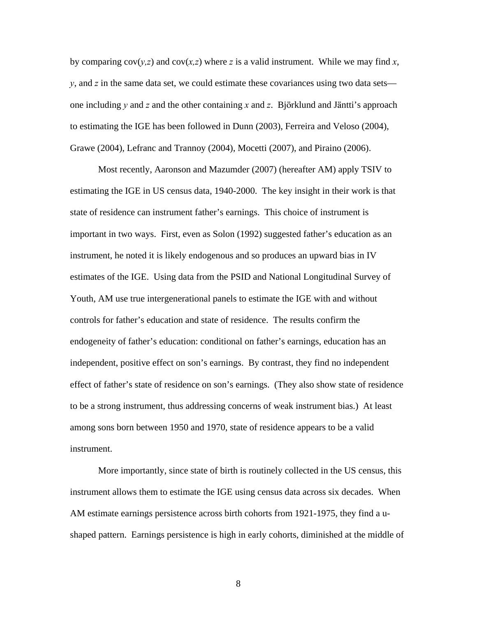by comparing  $cov(y, z)$  and  $cov(x, z)$  where z is a valid instrument. While we may find x, *y*, and *z* in the same data set, we could estimate these covariances using two data sets one including  $\gamma$  and  $\zeta$  and the other containing  $\chi$  and  $\zeta$ . Björklund and Jäntti's approach to estimating the IGE has been followed in Dunn (2003), Ferreira and Veloso (2004), Grawe (2004), Lefranc and Trannoy (2004), Mocetti (2007), and Piraino (2006).

 Most recently, Aaronson and Mazumder (2007) (hereafter AM) apply TSIV to estimating the IGE in US census data, 1940-2000. The key insight in their work is that state of residence can instrument father's earnings. This choice of instrument is important in two ways. First, even as Solon (1992) suggested father's education as an instrument, he noted it is likely endogenous and so produces an upward bias in IV estimates of the IGE. Using data from the PSID and National Longitudinal Survey of Youth, AM use true intergenerational panels to estimate the IGE with and without controls for father's education and state of residence. The results confirm the endogeneity of father's education: conditional on father's earnings, education has an independent, positive effect on son's earnings. By contrast, they find no independent effect of father's state of residence on son's earnings. (They also show state of residence to be a strong instrument, thus addressing concerns of weak instrument bias.) At least among sons born between 1950 and 1970, state of residence appears to be a valid instrument.

 More importantly, since state of birth is routinely collected in the US census, this instrument allows them to estimate the IGE using census data across six decades. When AM estimate earnings persistence across birth cohorts from 1921-1975, they find a ushaped pattern. Earnings persistence is high in early cohorts, diminished at the middle of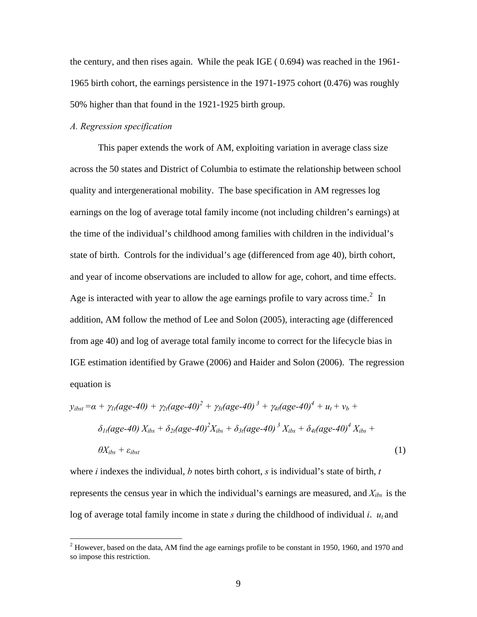the century, and then rises again. While the peak IGE ( 0.694) was reached in the 1961- 1965 birth cohort, the earnings persistence in the 1971-1975 cohort (0.476) was roughly 50% higher than that found in the 1921-1925 birth group.

#### *A. Regression specification*

1

This paper extends the work of AM, exploiting variation in average class size across the 50 states and District of Columbia to estimate the relationship between school quality and intergenerational mobility. The base specification in AM regresses log earnings on the log of average total family income (not including children's earnings) at the time of the individual's childhood among families with children in the individual's state of birth. Controls for the individual's age (differenced from age 40), birth cohort, and year of income observations are included to allow for age, cohort, and time effects. Age is interacted with year to allow the age earnings profile to vary across time.<sup>[2](#page-8-0)</sup> In addition, AM follow the method of Lee and Solon (2005), interacting age (differenced from age 40) and log of average total family income to correct for the lifecycle bias in IGE estimation identified by Grawe (2006) and Haider and Solon (2006). The regression equation is

$$
y_{ibst} = \alpha + \gamma_{1t}(age-40) + \gamma_{2t}(age-40)^2 + \gamma_{3t}(age-40)^3 + \gamma_{4t}(age-40)^4 + u_t + v_b + \delta_{1t}(age-40) X_{ibs} + \delta_{2t}(age-40)^2 X_{ibs} + \delta_{3t}(age-40)^3 X_{ibs} + \delta_{4t}(age-40)^4 X_{ibs} + \epsilon_{ibst}
$$
\n(1)

where *i* indexes the individual, *b* notes birth cohort, *s* is individual's state of birth, *t* represents the census year in which the individual's earnings are measured, and  $X_{ibs}$  is the log of average total family income in state  $s$  during the childhood of individual  $i$ .  $u_t$  and

<span id="page-8-0"></span> $2$  However, based on the data, AM find the age earnings profile to be constant in 1950, 1960, and 1970 and so impose this restriction.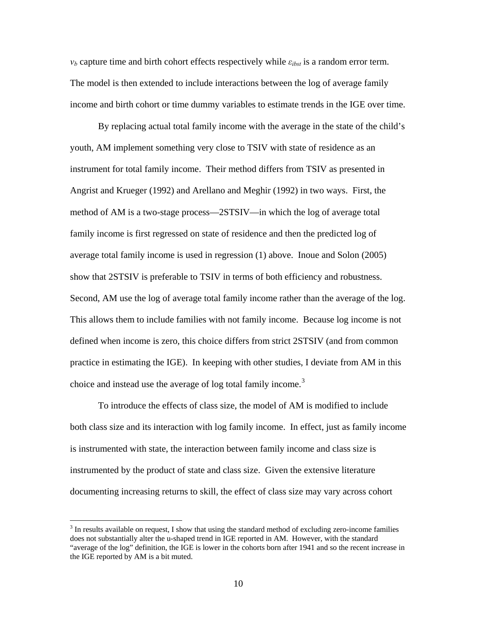$v_b$  capture time and birth cohort effects respectively while  $\varepsilon_{ibst}$  is a random error term. The model is then extended to include interactions between the log of average family income and birth cohort or time dummy variables to estimate trends in the IGE over time.

By replacing actual total family income with the average in the state of the child's youth, AM implement something very close to TSIV with state of residence as an instrument for total family income. Their method differs from TSIV as presented in Angrist and Krueger (1992) and Arellano and Meghir (1992) in two ways. First, the method of AM is a two-stage process—2STSIV—in which the log of average total family income is first regressed on state of residence and then the predicted log of average total family income is used in regression (1) above. Inoue and Solon (2005) show that 2STSIV is preferable to TSIV in terms of both efficiency and robustness. Second, AM use the log of average total family income rather than the average of the log. This allows them to include families with not family income. Because log income is not defined when income is zero, this choice differs from strict 2STSIV (and from common practice in estimating the IGE). In keeping with other studies, I deviate from AM in this choice and instead use the average of log total family income.<sup>[3](#page-9-0)</sup>

 To introduce the effects of class size, the model of AM is modified to include both class size and its interaction with log family income. In effect, just as family income is instrumented with state, the interaction between family income and class size is instrumented by the product of state and class size. Given the extensive literature documenting increasing returns to skill, the effect of class size may vary across cohort

<u>.</u>

<span id="page-9-0"></span> $3$  In results available on request, I show that using the standard method of excluding zero-income families does not substantially alter the u-shaped trend in IGE reported in AM. However, with the standard "average of the log" definition, the IGE is lower in the cohorts born after 1941 and so the recent increase in the IGE reported by AM is a bit muted.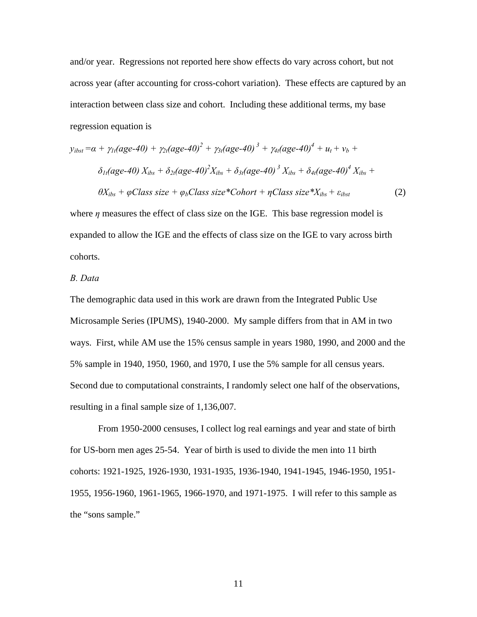and/or year. Regressions not reported here show effects do vary across cohort, but not across year (after accounting for cross-cohort variation). These effects are captured by an interaction between class size and cohort. Including these additional terms, my base regression equation is

$$
y_{ibst} = \alpha + \gamma_{1t}(age-40) + \gamma_{2t}(age-40)^{2} + \gamma_{3t}(age-40)^{3} + \gamma_{4t}(age-40)^{4} + u_{t} + v_{b} + \delta_{1t}(age-40) X_{ibs} + \delta_{2t}(age-40)^{2} X_{ibs} + \delta_{3t}(age-40)^{3} X_{ibs} + \delta_{4t}(age-40)^{4} X_{ibs} + \theta X_{ibs} + \phi Class size + \phi_{b} Class size * Cohort + \eta Class size * X_{ibs} + \varepsilon_{ibst}
$$
\n(2)

where  $\eta$  measures the effect of class size on the IGE. This base regression model is expanded to allow the IGE and the effects of class size on the IGE to vary across birth cohorts.

# *B. Data*

The demographic data used in this work are drawn from the Integrated Public Use Microsample Series (IPUMS), 1940-2000. My sample differs from that in AM in two ways. First, while AM use the 15% census sample in years 1980, 1990, and 2000 and the 5% sample in 1940, 1950, 1960, and 1970, I use the 5% sample for all census years. Second due to computational constraints, I randomly select one half of the observations, resulting in a final sample size of 1,136,007.

 From 1950-2000 censuses, I collect log real earnings and year and state of birth for US-born men ages 25-54. Year of birth is used to divide the men into 11 birth cohorts: 1921-1925, 1926-1930, 1931-1935, 1936-1940, 1941-1945, 1946-1950, 1951- 1955, 1956-1960, 1961-1965, 1966-1970, and 1971-1975. I will refer to this sample as the "sons sample."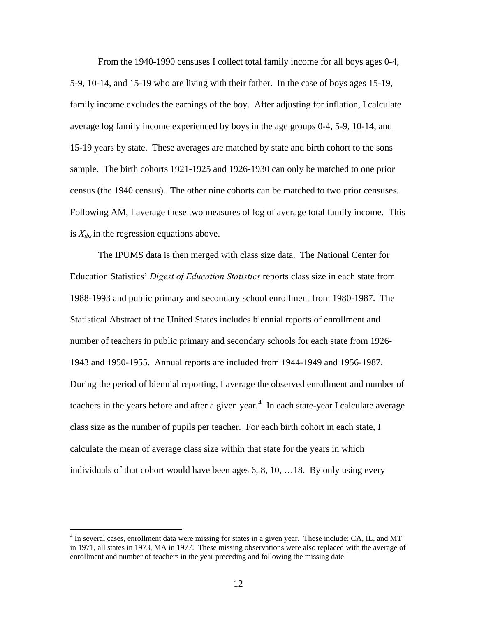From the 1940-1990 censuses I collect total family income for all boys ages 0-4, 5-9, 10-14, and 15-19 who are living with their father. In the case of boys ages 15-19, family income excludes the earnings of the boy. After adjusting for inflation, I calculate average log family income experienced by boys in the age groups 0-4, 5-9, 10-14, and 15-19 years by state. These averages are matched by state and birth cohort to the sons sample. The birth cohorts 1921-1925 and 1926-1930 can only be matched to one prior census (the 1940 census). The other nine cohorts can be matched to two prior censuses. Following AM, I average these two measures of log of average total family income. This is  $X_{ibs}$  in the regression equations above.

 The IPUMS data is then merged with class size data. The National Center for Education Statistics' *Digest of Education Statistics* reports class size in each state from 1988-1993 and public primary and secondary school enrollment from 1980-1987. The Statistical Abstract of the United States includes biennial reports of enrollment and number of teachers in public primary and secondary schools for each state from 1926- 1943 and 1950-1955. Annual reports are included from 1944-1949 and 1956-1987. During the period of biennial reporting, I average the observed enrollment and number of teachers in the years before and after a given year.<sup>[4](#page-11-0)</sup> In each state-year I calculate average class size as the number of pupils per teacher. For each birth cohort in each state, I calculate the mean of average class size within that state for the years in which individuals of that cohort would have been ages 6, 8, 10, …18. By only using every

 $\overline{a}$ 

<span id="page-11-0"></span><sup>&</sup>lt;sup>4</sup> In several cases, enrollment data were missing for states in a given year. These include: CA, IL, and MT in 1971, all states in 1973, MA in 1977. These missing observations were also replaced with the average of enrollment and number of teachers in the year preceding and following the missing date.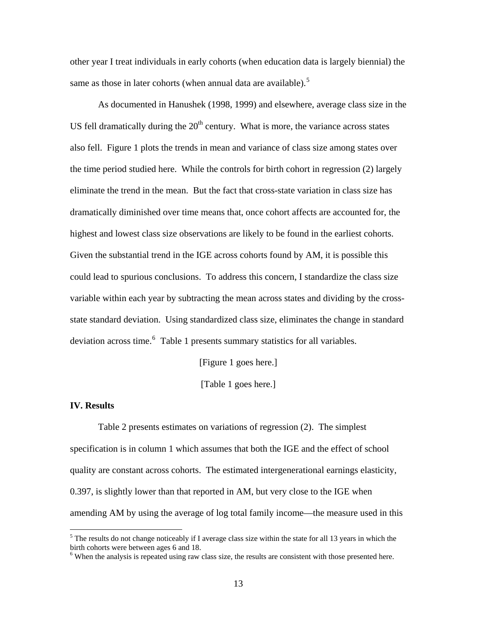other year I treat individuals in early cohorts (when education data is largely biennial) the same as those in later cohorts (when annual data are available).<sup>[5](#page-12-0)</sup>

 As documented in Hanushek (1998, 1999) and elsewhere, average class size in the US fell dramatically during the  $20<sup>th</sup>$  century. What is more, the variance across states also fell. Figure 1 plots the trends in mean and variance of class size among states over the time period studied here. While the controls for birth cohort in regression (2) largely eliminate the trend in the mean. But the fact that cross-state variation in class size has dramatically diminished over time means that, once cohort affects are accounted for, the highest and lowest class size observations are likely to be found in the earliest cohorts. Given the substantial trend in the IGE across cohorts found by AM, it is possible this could lead to spurious conclusions. To address this concern, I standardize the class size variable within each year by subtracting the mean across states and dividing by the crossstate standard deviation. Using standardized class size, eliminates the change in standard deviation across time.<sup>[6](#page-12-1)</sup> Table 1 presents summary statistics for all variables.

[Figure 1 goes here.]

[Table 1 goes here.]

#### **IV. Results**

1

 Table 2 presents estimates on variations of regression (2). The simplest specification is in column 1 which assumes that both the IGE and the effect of school quality are constant across cohorts. The estimated intergenerational earnings elasticity, 0.397, is slightly lower than that reported in AM, but very close to the IGE when amending AM by using the average of log total family income—the measure used in this

<span id="page-12-0"></span><sup>&</sup>lt;sup>5</sup> The results do not change noticeably if I average class size within the state for all 13 years in which the birth cohorts were between ages 6 and 18.

<span id="page-12-1"></span><sup>&</sup>lt;sup>6</sup> When the analysis is repeated using raw class size, the results are consistent with those presented here.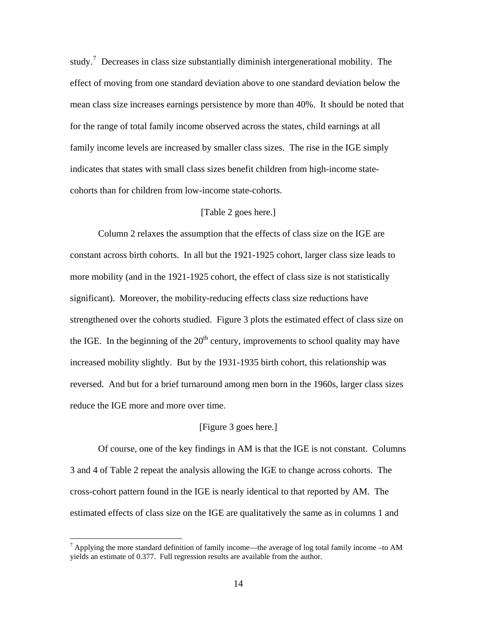study.<sup>[7](#page-13-0)</sup> Decreases in class size substantially diminish intergenerational mobility. The effect of moving from one standard deviation above to one standard deviation below the mean class size increases earnings persistence by more than 40%. It should be noted that for the range of total family income observed across the states, child earnings at all family income levels are increased by smaller class sizes. The rise in the IGE simply indicates that states with small class sizes benefit children from high-income statecohorts than for children from low-income state-cohorts.

# [Table 2 goes here.]

 Column 2 relaxes the assumption that the effects of class size on the IGE are constant across birth cohorts. In all but the 1921-1925 cohort, larger class size leads to more mobility (and in the 1921-1925 cohort, the effect of class size is not statistically significant). Moreover, the mobility-reducing effects class size reductions have strengthened over the cohorts studied. Figure 3 plots the estimated effect of class size on the IGE. In the beginning of the  $20<sup>th</sup>$  century, improvements to school quality may have increased mobility slightly. But by the 1931-1935 birth cohort, this relationship was reversed. And but for a brief turnaround among men born in the 1960s, larger class sizes reduce the IGE more and more over time.

# [Figure 3 goes here.]

 Of course, one of the key findings in AM is that the IGE is not constant. Columns 3 and 4 of Table 2 repeat the analysis allowing the IGE to change across cohorts. The cross-cohort pattern found in the IGE is nearly identical to that reported by AM. The estimated effects of class size on the IGE are qualitatively the same as in columns 1 and

<span id="page-13-0"></span><sup>&</sup>lt;sup>7</sup> Applying the more standard definition of family income—the average of log total family income –to AM yields an estimate of 0.377. Full regression results are available from the author.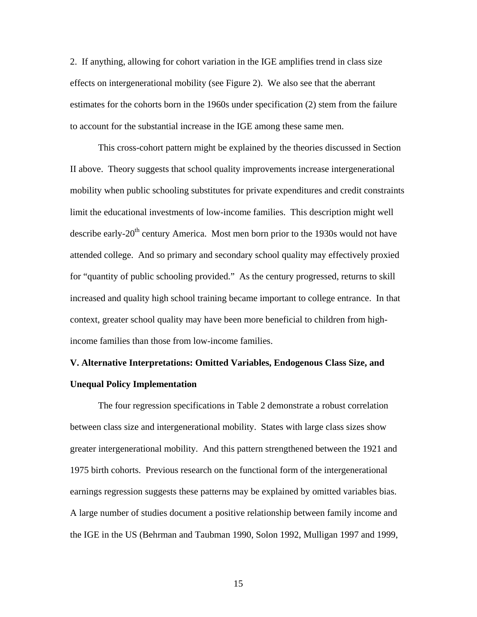2. If anything, allowing for cohort variation in the IGE amplifies trend in class size effects on intergenerational mobility (see Figure 2). We also see that the aberrant estimates for the cohorts born in the 1960s under specification (2) stem from the failure to account for the substantial increase in the IGE among these same men.

 This cross-cohort pattern might be explained by the theories discussed in Section II above. Theory suggests that school quality improvements increase intergenerational mobility when public schooling substitutes for private expenditures and credit constraints limit the educational investments of low-income families. This description might well describe early-20<sup>th</sup> century America. Most men born prior to the 1930s would not have attended college. And so primary and secondary school quality may effectively proxied for "quantity of public schooling provided." As the century progressed, returns to skill increased and quality high school training became important to college entrance. In that context, greater school quality may have been more beneficial to children from highincome families than those from low-income families.

# **V. Alternative Interpretations: Omitted Variables, Endogenous Class Size, and Unequal Policy Implementation**

 The four regression specifications in Table 2 demonstrate a robust correlation between class size and intergenerational mobility. States with large class sizes show greater intergenerational mobility. And this pattern strengthened between the 1921 and 1975 birth cohorts. Previous research on the functional form of the intergenerational earnings regression suggests these patterns may be explained by omitted variables bias. A large number of studies document a positive relationship between family income and the IGE in the US (Behrman and Taubman 1990, Solon 1992, Mulligan 1997 and 1999,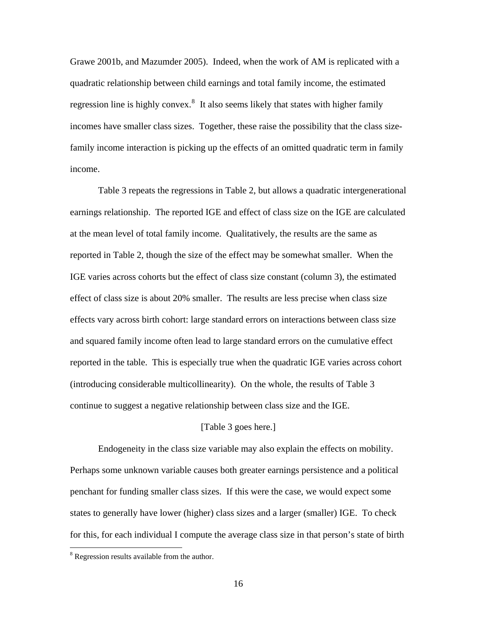Grawe 2001b, and Mazumder 2005). Indeed, when the work of AM is replicated with a quadratic relationship between child earnings and total family income, the estimated regression line is highly convex.<sup>[8](#page-15-0)</sup> It also seems likely that states with higher family incomes have smaller class sizes. Together, these raise the possibility that the class sizefamily income interaction is picking up the effects of an omitted quadratic term in family income.

 Table 3 repeats the regressions in Table 2, but allows a quadratic intergenerational earnings relationship. The reported IGE and effect of class size on the IGE are calculated at the mean level of total family income. Qualitatively, the results are the same as reported in Table 2, though the size of the effect may be somewhat smaller. When the IGE varies across cohorts but the effect of class size constant (column 3), the estimated effect of class size is about 20% smaller. The results are less precise when class size effects vary across birth cohort: large standard errors on interactions between class size and squared family income often lead to large standard errors on the cumulative effect reported in the table. This is especially true when the quadratic IGE varies across cohort (introducing considerable multicollinearity). On the whole, the results of Table 3 continue to suggest a negative relationship between class size and the IGE.

# [Table 3 goes here.]

 Endogeneity in the class size variable may also explain the effects on mobility. Perhaps some unknown variable causes both greater earnings persistence and a political penchant for funding smaller class sizes. If this were the case, we would expect some states to generally have lower (higher) class sizes and a larger (smaller) IGE. To check for this, for each individual I compute the average class size in that person's state of birth

 $\overline{a}$ 

<span id="page-15-0"></span><sup>&</sup>lt;sup>8</sup> Regression results available from the author.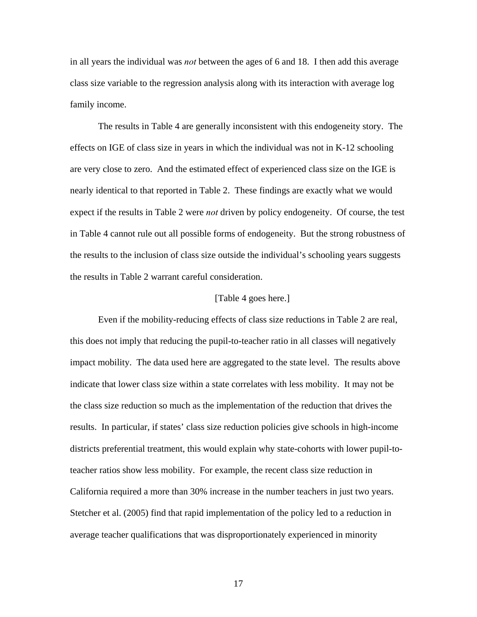in all years the individual was *not* between the ages of 6 and 18. I then add this average class size variable to the regression analysis along with its interaction with average log family income.

 The results in Table 4 are generally inconsistent with this endogeneity story. The effects on IGE of class size in years in which the individual was not in K-12 schooling are very close to zero. And the estimated effect of experienced class size on the IGE is nearly identical to that reported in Table 2. These findings are exactly what we would expect if the results in Table 2 were *not* driven by policy endogeneity. Of course, the test in Table 4 cannot rule out all possible forms of endogeneity. But the strong robustness of the results to the inclusion of class size outside the individual's schooling years suggests the results in Table 2 warrant careful consideration.

#### [Table 4 goes here.]

 Even if the mobility-reducing effects of class size reductions in Table 2 are real, this does not imply that reducing the pupil-to-teacher ratio in all classes will negatively impact mobility. The data used here are aggregated to the state level. The results above indicate that lower class size within a state correlates with less mobility. It may not be the class size reduction so much as the implementation of the reduction that drives the results. In particular, if states' class size reduction policies give schools in high-income districts preferential treatment, this would explain why state-cohorts with lower pupil-toteacher ratios show less mobility. For example, the recent class size reduction in California required a more than 30% increase in the number teachers in just two years. Stetcher et al. (2005) find that rapid implementation of the policy led to a reduction in average teacher qualifications that was disproportionately experienced in minority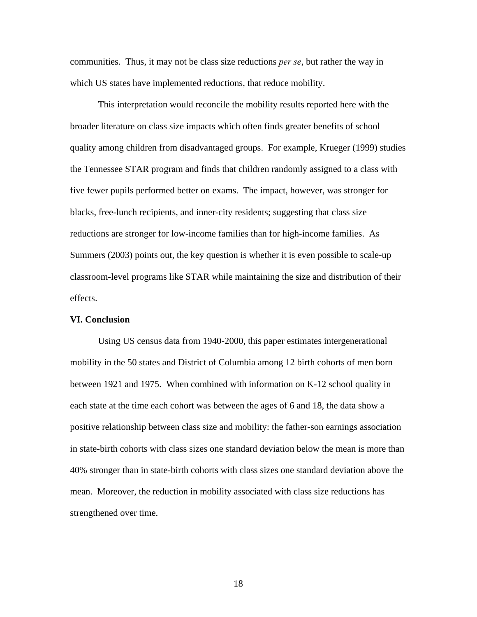communities. Thus, it may not be class size reductions *per se*, but rather the way in which US states have implemented reductions, that reduce mobility.

 This interpretation would reconcile the mobility results reported here with the broader literature on class size impacts which often finds greater benefits of school quality among children from disadvantaged groups. For example, Krueger (1999) studies the Tennessee STAR program and finds that children randomly assigned to a class with five fewer pupils performed better on exams. The impact, however, was stronger for blacks, free-lunch recipients, and inner-city residents; suggesting that class size reductions are stronger for low-income families than for high-income families. As Summers (2003) points out, the key question is whether it is even possible to scale-up classroom-level programs like STAR while maintaining the size and distribution of their effects.

#### **VI. Conclusion**

 Using US census data from 1940-2000, this paper estimates intergenerational mobility in the 50 states and District of Columbia among 12 birth cohorts of men born between 1921 and 1975. When combined with information on K-12 school quality in each state at the time each cohort was between the ages of 6 and 18, the data show a positive relationship between class size and mobility: the father-son earnings association in state-birth cohorts with class sizes one standard deviation below the mean is more than 40% stronger than in state-birth cohorts with class sizes one standard deviation above the mean. Moreover, the reduction in mobility associated with class size reductions has strengthened over time.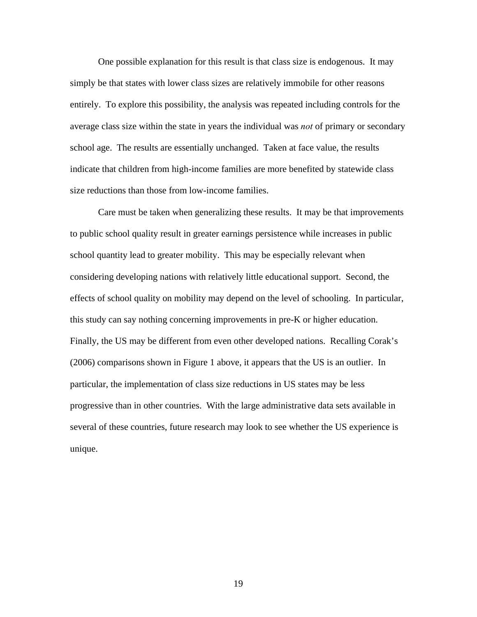One possible explanation for this result is that class size is endogenous. It may simply be that states with lower class sizes are relatively immobile for other reasons entirely. To explore this possibility, the analysis was repeated including controls for the average class size within the state in years the individual was *not* of primary or secondary school age. The results are essentially unchanged. Taken at face value, the results indicate that children from high-income families are more benefited by statewide class size reductions than those from low-income families.

 Care must be taken when generalizing these results. It may be that improvements to public school quality result in greater earnings persistence while increases in public school quantity lead to greater mobility. This may be especially relevant when considering developing nations with relatively little educational support. Second, the effects of school quality on mobility may depend on the level of schooling. In particular, this study can say nothing concerning improvements in pre-K or higher education. Finally, the US may be different from even other developed nations. Recalling Corak's (2006) comparisons shown in Figure 1 above, it appears that the US is an outlier. In particular, the implementation of class size reductions in US states may be less progressive than in other countries. With the large administrative data sets available in several of these countries, future research may look to see whether the US experience is unique.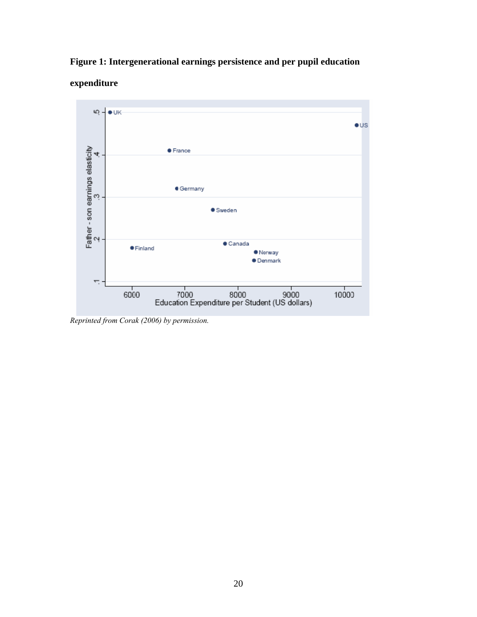# **Figure 1: Intergenerational earnings persistence and per pupil education**





*Reprinted from Corak (2006) by permission.*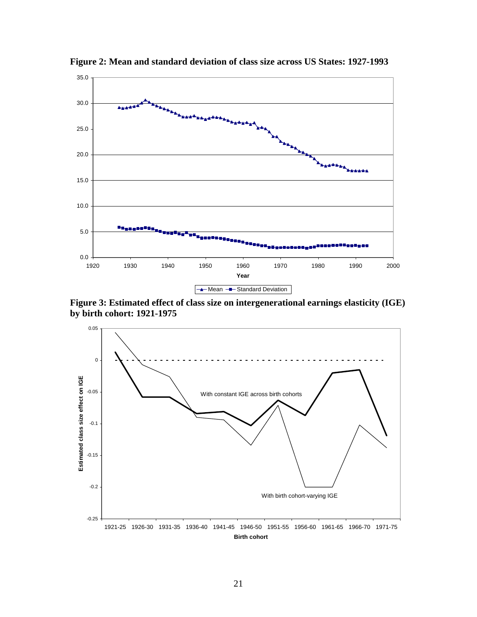

**Figure 2: Mean and standard deviation of class size across US States: 1927-1993** 

**Figure 3: Estimated effect of class size on intergenerational earnings elasticity (IGE) by birth cohort: 1921-1975** 

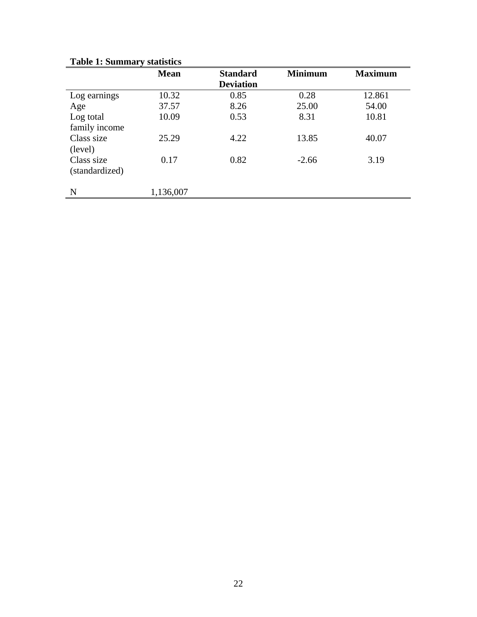|                | <b>Mean</b> | <b>Standard</b>  | <b>Minimum</b> | <b>Maximum</b> |
|----------------|-------------|------------------|----------------|----------------|
|                |             | <b>Deviation</b> |                |                |
| Log earnings   | 10.32       | 0.85             | 0.28           | 12.861         |
| Age            | 37.57       | 8.26             | 25.00          | 54.00          |
| Log total      | 10.09       | 0.53             | 8.31           | 10.81          |
| family income  |             |                  |                |                |
| Class size     | 25.29       | 4.22             | 13.85          | 40.07          |
| (level)        |             |                  |                |                |
| Class size     | 0.17        | 0.82             | $-2.66$        | 3.19           |
| (standardized) |             |                  |                |                |
| N              | 1,136,007   |                  |                |                |

# **Table 1: Summary statistics**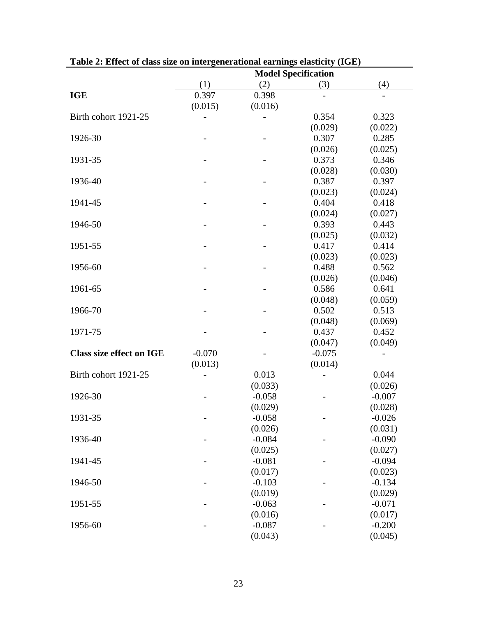|                                 | Table 2. Effect of class size on intergenciational earnings elasticity (TGE)<br><b>Model Specification</b> |          |          |          |
|---------------------------------|------------------------------------------------------------------------------------------------------------|----------|----------|----------|
|                                 | (1)                                                                                                        | (2)      | (3)      | (4)      |
| <b>IGE</b>                      | 0.397                                                                                                      | 0.398    |          |          |
|                                 | (0.015)                                                                                                    | (0.016)  |          |          |
| Birth cohort 1921-25            |                                                                                                            |          | 0.354    | 0.323    |
|                                 |                                                                                                            |          | (0.029)  | (0.022)  |
| 1926-30                         |                                                                                                            |          | 0.307    | 0.285    |
|                                 |                                                                                                            |          | (0.026)  | (0.025)  |
| 1931-35                         |                                                                                                            |          | 0.373    | 0.346    |
|                                 |                                                                                                            |          | (0.028)  | (0.030)  |
| 1936-40                         |                                                                                                            |          | 0.387    | 0.397    |
|                                 |                                                                                                            |          | (0.023)  | (0.024)  |
| 1941-45                         |                                                                                                            |          | 0.404    | 0.418    |
|                                 |                                                                                                            |          | (0.024)  | (0.027)  |
| 1946-50                         |                                                                                                            |          | 0.393    | 0.443    |
|                                 |                                                                                                            |          | (0.025)  | (0.032)  |
| 1951-55                         |                                                                                                            |          | 0.417    | 0.414    |
|                                 |                                                                                                            |          | (0.023)  | (0.023)  |
| 1956-60                         |                                                                                                            |          | 0.488    | 0.562    |
|                                 |                                                                                                            |          | (0.026)  | (0.046)  |
| 1961-65                         |                                                                                                            |          | 0.586    | 0.641    |
|                                 |                                                                                                            |          | (0.048)  | (0.059)  |
| 1966-70                         |                                                                                                            |          | 0.502    | 0.513    |
|                                 |                                                                                                            |          | (0.048)  | (0.069)  |
| 1971-75                         |                                                                                                            |          | 0.437    | 0.452    |
|                                 |                                                                                                            |          | (0.047)  | (0.049)  |
| <b>Class size effect on IGE</b> | $-0.070$                                                                                                   |          | $-0.075$ |          |
|                                 | (0.013)                                                                                                    |          | (0.014)  |          |
| Birth cohort 1921-25            |                                                                                                            | 0.013    |          | 0.044    |
|                                 |                                                                                                            | (0.033)  |          | (0.026)  |
| 1926-30                         |                                                                                                            | $-0.058$ |          | $-0.007$ |
|                                 |                                                                                                            | (0.029)  |          | (0.028)  |
| 1931-35                         |                                                                                                            | $-0.058$ |          | $-0.026$ |
|                                 |                                                                                                            | (0.026)  |          | (0.031)  |
| 1936-40                         |                                                                                                            | $-0.084$ |          | $-0.090$ |
|                                 |                                                                                                            | (0.025)  |          | (0.027)  |
| 1941-45                         |                                                                                                            | $-0.081$ |          | $-0.094$ |
|                                 |                                                                                                            | (0.017)  |          | (0.023)  |
| 1946-50                         |                                                                                                            | $-0.103$ |          | $-0.134$ |
|                                 |                                                                                                            | (0.019)  |          | (0.029)  |
| 1951-55                         |                                                                                                            | $-0.063$ |          | $-0.071$ |
|                                 |                                                                                                            | (0.016)  |          | (0.017)  |
| 1956-60                         |                                                                                                            | $-0.087$ |          | $-0.200$ |
|                                 |                                                                                                            | (0.043)  |          | (0.045)  |

**Table 2: Effect of class size on intergenerational earnings elasticity (IGE)**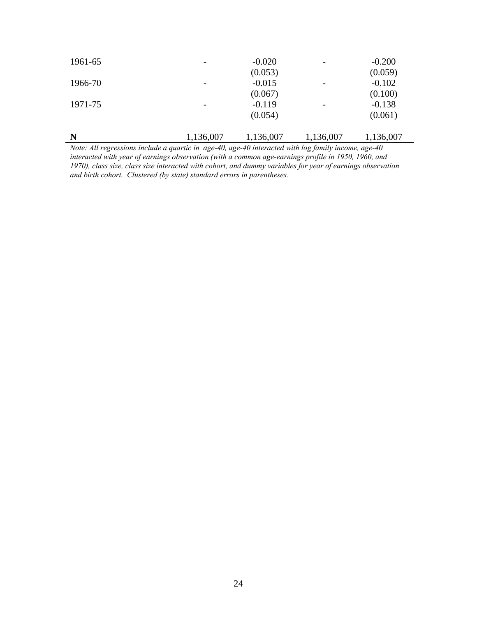| N       | 1,136,007 | 1,136,007 | 1,136,007 | 1,136,007 |
|---------|-----------|-----------|-----------|-----------|
|         |           | (0.054)   |           | (0.061)   |
| 1971-75 | -         | $-0.119$  |           | $-0.138$  |
|         |           | (0.067)   |           | (0.100)   |
| 1966-70 | -         | $-0.015$  |           | $-0.102$  |
|         |           | (0.053)   |           | (0.059)   |
| 1961-65 |           | $-0.020$  |           | $-0.200$  |
|         |           |           |           |           |

*Note: All regressions include a quartic in age-40, age-40 interacted with log family income, age-40 interacted with year of earnings observation (with a common age-earnings profile in 1950, 1960, and 1970), class size, class size interacted with cohort, and dummy variables for year of earnings observation and birth cohort. Clustered (by state) standard errors in parentheses.*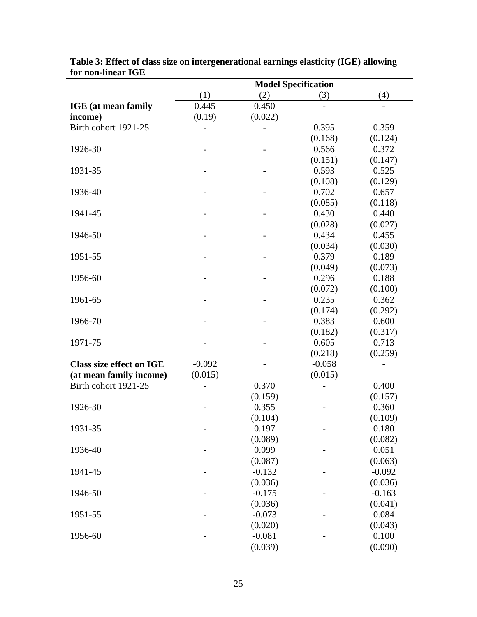| <b>TOP NON-LINEAR IGE</b>       | <b>Model Specification</b>   |          |          |          |  |
|---------------------------------|------------------------------|----------|----------|----------|--|
|                                 | (1)                          | (2)      | (3)      | (4)      |  |
| <b>IGE</b> (at mean family      | 0.445                        | 0.450    |          |          |  |
| income)                         | (0.19)                       | (0.022)  |          |          |  |
| Birth cohort 1921-25            |                              |          | 0.395    | 0.359    |  |
|                                 |                              |          | (0.168)  | (0.124)  |  |
| 1926-30                         |                              |          | 0.566    | 0.372    |  |
|                                 |                              |          | (0.151)  | (0.147)  |  |
| 1931-35                         |                              |          | 0.593    | 0.525    |  |
|                                 |                              |          | (0.108)  | (0.129)  |  |
| 1936-40                         |                              |          | 0.702    | 0.657    |  |
|                                 |                              |          | (0.085)  | (0.118)  |  |
| 1941-45                         |                              |          | 0.430    | 0.440    |  |
|                                 |                              |          | (0.028)  | (0.027)  |  |
| 1946-50                         |                              |          | 0.434    | 0.455    |  |
|                                 |                              |          | (0.034)  | (0.030)  |  |
| 1951-55                         |                              |          | 0.379    | 0.189    |  |
|                                 |                              |          | (0.049)  | (0.073)  |  |
| 1956-60                         |                              |          | 0.296    | 0.188    |  |
|                                 |                              |          | (0.072)  | (0.100)  |  |
| 1961-65                         |                              |          | 0.235    | 0.362    |  |
|                                 |                              |          | (0.174)  | (0.292)  |  |
| 1966-70                         |                              |          | 0.383    | 0.600    |  |
|                                 |                              |          | (0.182)  | (0.317)  |  |
| 1971-75                         |                              |          | 0.605    | 0.713    |  |
|                                 |                              |          | (0.218)  | (0.259)  |  |
| <b>Class size effect on IGE</b> | $-0.092$                     |          | $-0.058$ |          |  |
| (at mean family income)         | (0.015)                      |          | (0.015)  |          |  |
| Birth cohort 1921-25            |                              | 0.370    |          | 0.400    |  |
|                                 |                              | (0.159)  |          | (0.157)  |  |
| 1926-30                         |                              | 0.355    |          | 0.360    |  |
|                                 |                              | (0.104)  |          | (0.109)  |  |
| 1931-35                         | $\qquad \qquad \blacksquare$ | 0.197    |          | 0.180    |  |
|                                 |                              | (0.089)  |          | (0.082)  |  |
| 1936-40                         |                              | 0.099    |          | 0.051    |  |
|                                 |                              | (0.087)  |          | (0.063)  |  |
| 1941-45                         |                              | $-0.132$ |          | $-0.092$ |  |
|                                 |                              | (0.036)  |          | (0.036)  |  |
| 1946-50                         |                              | $-0.175$ |          | $-0.163$ |  |
|                                 |                              | (0.036)  |          | (0.041)  |  |
| 1951-55                         |                              | $-0.073$ |          | 0.084    |  |
|                                 |                              | (0.020)  |          | (0.043)  |  |
| 1956-60                         |                              | $-0.081$ |          | 0.100    |  |
|                                 |                              | (0.039)  |          | (0.090)  |  |
|                                 |                              |          |          |          |  |

**Table 3: Effect of class size on intergenerational earnings elasticity (IGE) allowing for non-linear IGE**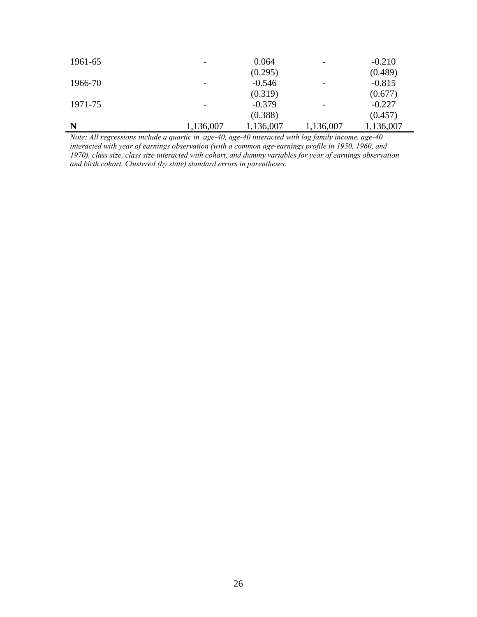| 1961-65 |           | 0.064     |           | $-0.210$  |
|---------|-----------|-----------|-----------|-----------|
|         |           | (0.295)   |           | (0.489)   |
| 1966-70 |           | $-0.546$  |           | $-0.815$  |
|         |           | (0.319)   |           | (0.677)   |
| 1971-75 |           | $-0.379$  |           | $-0.227$  |
|         |           | (0.388)   |           | (0.457)   |
| N       | 1,136,007 | 1,136,007 | 1,136,007 | 1,136,007 |

*Note: All regressions include a quartic in age-40, age-40 interacted with log family income, age-40 interacted with year of earnings observation (with a common age-earnings profile in 1950, 1960, and 1970), class size, class size interacted with cohort, and dummy variables for year of earnings observation and birth cohort. Clustered (by state) standard errors in parentheses.*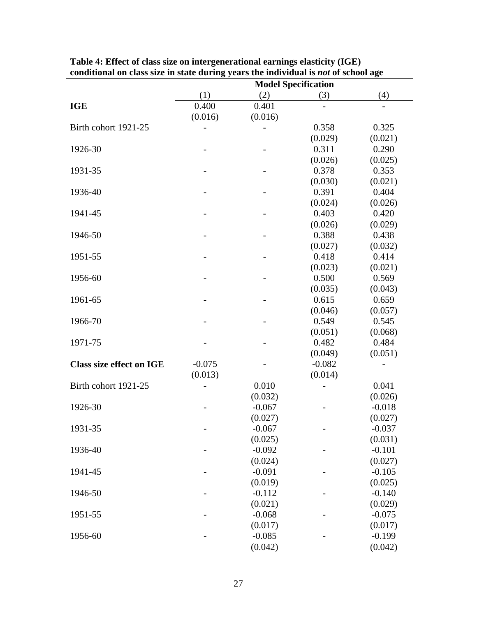|                                 | conditional on class size in state during years the murvidual is not of school age<br><b>Model Specification</b> |          |          |          |
|---------------------------------|------------------------------------------------------------------------------------------------------------------|----------|----------|----------|
|                                 | (1)                                                                                                              | (2)      | (3)      | (4)      |
| <b>IGE</b>                      | 0.400                                                                                                            | 0.401    |          |          |
|                                 | (0.016)                                                                                                          | (0.016)  |          |          |
| Birth cohort 1921-25            |                                                                                                                  |          | 0.358    | 0.325    |
|                                 |                                                                                                                  |          | (0.029)  | (0.021)  |
| 1926-30                         |                                                                                                                  |          | 0.311    | 0.290    |
|                                 |                                                                                                                  |          | (0.026)  | (0.025)  |
| 1931-35                         |                                                                                                                  |          | 0.378    | 0.353    |
|                                 |                                                                                                                  |          | (0.030)  | (0.021)  |
| 1936-40                         |                                                                                                                  |          | 0.391    | 0.404    |
|                                 |                                                                                                                  |          | (0.024)  | (0.026)  |
| 1941-45                         |                                                                                                                  |          | 0.403    | 0.420    |
|                                 |                                                                                                                  |          | (0.026)  | (0.029)  |
| 1946-50                         |                                                                                                                  |          | 0.388    | 0.438    |
|                                 |                                                                                                                  |          | (0.027)  | (0.032)  |
| 1951-55                         |                                                                                                                  |          | 0.418    | 0.414    |
|                                 |                                                                                                                  |          | (0.023)  | (0.021)  |
| 1956-60                         |                                                                                                                  |          | 0.500    | 0.569    |
|                                 |                                                                                                                  |          | (0.035)  | (0.043)  |
| 1961-65                         |                                                                                                                  |          | 0.615    | 0.659    |
|                                 |                                                                                                                  |          | (0.046)  | (0.057)  |
| 1966-70                         |                                                                                                                  |          | 0.549    | 0.545    |
|                                 |                                                                                                                  |          | (0.051)  | (0.068)  |
| 1971-75                         |                                                                                                                  |          | 0.482    | 0.484    |
|                                 |                                                                                                                  |          | (0.049)  | (0.051)  |
| <b>Class size effect on IGE</b> | $-0.075$                                                                                                         |          | $-0.082$ |          |
|                                 | (0.013)                                                                                                          |          | (0.014)  |          |
| Birth cohort 1921-25            |                                                                                                                  | 0.010    |          | 0.041    |
|                                 |                                                                                                                  | (0.032)  |          | (0.026)  |
| 1926-30                         |                                                                                                                  | $-0.067$ |          | $-0.018$ |
|                                 |                                                                                                                  | (0.027)  |          | (0.027)  |
| 1931-35                         |                                                                                                                  | $-0.067$ |          | $-0.037$ |
|                                 |                                                                                                                  | (0.025)  |          | (0.031)  |
| 1936-40                         |                                                                                                                  | $-0.092$ |          | $-0.101$ |
|                                 |                                                                                                                  | (0.024)  |          | (0.027)  |
| 1941-45                         |                                                                                                                  | $-0.091$ |          | $-0.105$ |
|                                 |                                                                                                                  | (0.019)  |          | (0.025)  |
| 1946-50                         |                                                                                                                  | $-0.112$ |          | $-0.140$ |
|                                 |                                                                                                                  | (0.021)  |          | (0.029)  |
| 1951-55                         |                                                                                                                  | $-0.068$ |          | $-0.075$ |
|                                 |                                                                                                                  | (0.017)  |          | (0.017)  |
| 1956-60                         |                                                                                                                  | $-0.085$ |          | $-0.199$ |
|                                 |                                                                                                                  | (0.042)  |          | (0.042)  |

**Table 4: Effect of class size on intergenerational earnings elasticity (IGE) conditional on class size in state during years the individual is** *not* **of school age**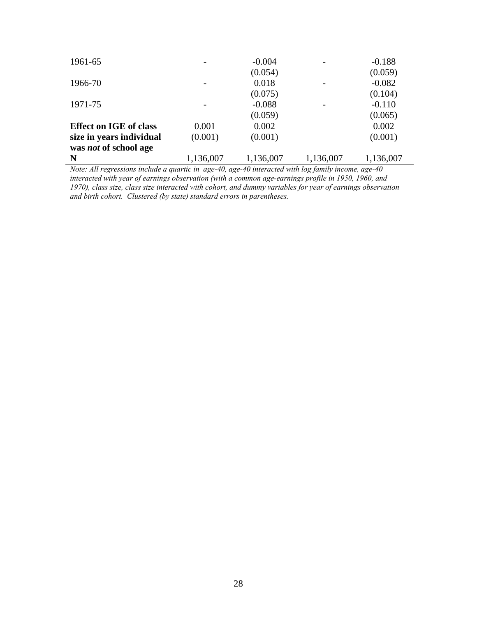| 1961-65                       |           | $-0.004$  |           | $-0.188$  |
|-------------------------------|-----------|-----------|-----------|-----------|
|                               |           | (0.054)   |           | (0.059)   |
| 1966-70                       |           | 0.018     |           | $-0.082$  |
|                               |           | (0.075)   |           | (0.104)   |
| 1971-75                       |           | $-0.088$  |           | $-0.110$  |
|                               |           | (0.059)   |           | (0.065)   |
| <b>Effect on IGE of class</b> | 0.001     | 0.002     |           | 0.002     |
| size in years individual      | (0.001)   | (0.001)   |           | (0.001)   |
| was <i>not</i> of school age  |           |           |           |           |
| N                             | 1,136,007 | 1,136,007 | 1,136,007 | 1,136,007 |

*Note: All regressions include a quartic in age-40, age-40 interacted with log family income, age-40 interacted with year of earnings observation (with a common age-earnings profile in 1950, 1960, and 1970), class size, class size interacted with cohort, and dummy variables for year of earnings observation and birth cohort. Clustered (by state) standard errors in parentheses.*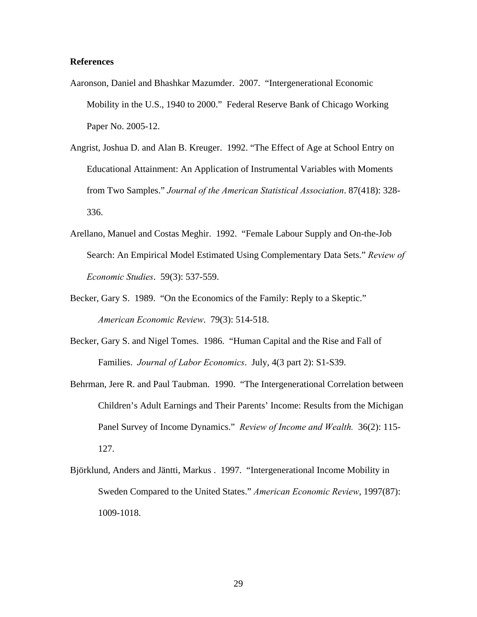#### **References**

- Aaronson, Daniel and Bhashkar Mazumder. 2007. "Intergenerational Economic Mobility in the U.S., 1940 to 2000." Federal Reserve Bank of Chicago Working Paper No. 2005-12.
- Angrist, Joshua D. and Alan B. Kreuger. 1992. "The Effect of Age at School Entry on Educational Attainment: An Application of Instrumental Variables with Moments from Two Samples." *Journal of the American Statistical Association*. 87(418): 328- 336.
- Arellano, Manuel and Costas Meghir. 1992. "Female Labour Supply and On-the-Job Search: An Empirical Model Estimated Using Complementary Data Sets." *Review of Economic Studies*. 59(3): 537-559.
- Becker, Gary S. 1989. "On the Economics of the Family: Reply to a Skeptic." *American Economic Review*. 79(3): 514-518.
- Becker, Gary S. and Nigel Tomes. 1986. "Human Capital and the Rise and Fall of Families. *Journal of Labor Economics*. July, 4(3 part 2): S1-S39.
- Behrman, Jere R. and Paul Taubman. 1990. "The Intergenerational Correlation between Children's Adult Earnings and Their Parents' Income: Results from the Michigan Panel Survey of Income Dynamics." *Review of Income and Wealth.* 36(2): 115- 127.
- Björklund, Anders and Jäntti, Markus . 1997. "Intergenerational Income Mobility in Sweden Compared to the United States." *American Economic Review*, 1997(87): 1009-1018.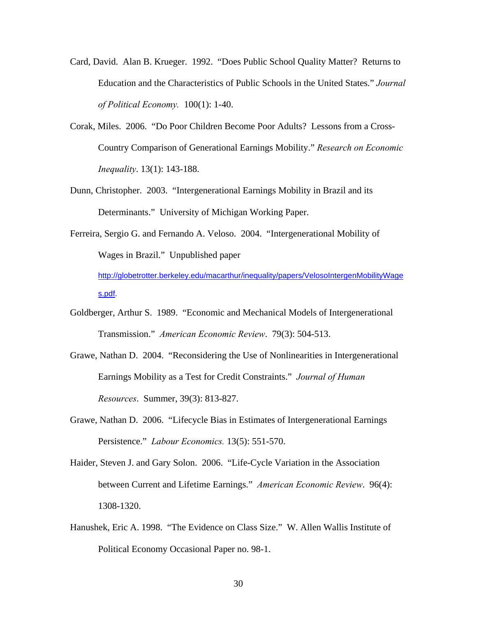- Card, David. Alan B. Krueger. 1992. "Does Public School Quality Matter? Returns to Education and the Characteristics of Public Schools in the United States." *Journal of Political Economy.* 100(1): 1-40.
- Corak, Miles. 2006. "Do Poor Children Become Poor Adults? Lessons from a Cross-Country Comparison of Generational Earnings Mobility." *Research on Economic Inequality*. 13(1): 143-188.
- Dunn, Christopher. 2003. "Intergenerational Earnings Mobility in Brazil and its Determinants." University of Michigan Working Paper.

Ferreira, Sergio G. and Fernando A. Veloso. 2004. "Intergenerational Mobility of Wages in Brazil." Unpublished paper [http://globetrotter.berkeley.edu/macarthur/inequality/papers/VelosoIntergenMobilityWage](http://globetrotter.berkeley.edu/macarthur/inequality/papers/VelosoIntergenMobilityWages.pdf) [s.pdf.](http://globetrotter.berkeley.edu/macarthur/inequality/papers/VelosoIntergenMobilityWages.pdf)

- Goldberger, Arthur S. 1989. "Economic and Mechanical Models of Intergenerational Transmission." *American Economic Review*. 79(3): 504-513.
- Grawe, Nathan D. 2004. "Reconsidering the Use of Nonlinearities in Intergenerational Earnings Mobility as a Test for Credit Constraints." *Journal of Human Resources*. Summer, 39(3): 813-827.
- Grawe, Nathan D. 2006. "Lifecycle Bias in Estimates of Intergenerational Earnings Persistence." *Labour Economics.* 13(5): 551-570.
- Haider, Steven J. and Gary Solon. 2006. "Life-Cycle Variation in the Association between Current and Lifetime Earnings." *American Economic Review*. 96(4): 1308-1320.
- Hanushek, Eric A. 1998. "The Evidence on Class Size." W. Allen Wallis Institute of Political Economy Occasional Paper no. 98-1.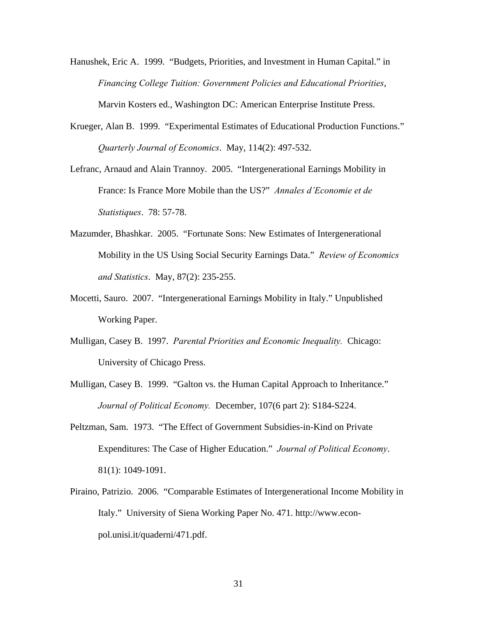- Hanushek, Eric A. 1999. "Budgets, Priorities, and Investment in Human Capital." in *Financing College Tuition: Government Policies and Educational Priorities*, Marvin Kosters ed., Washington DC: American Enterprise Institute Press.
- Krueger, Alan B. 1999. "Experimental Estimates of Educational Production Functions." *Quarterly Journal of Economics*. May, 114(2): 497-532.
- Lefranc, Arnaud and Alain Trannoy. 2005. "Intergenerational Earnings Mobility in France: Is France More Mobile than the US?" *Annales d'Economie et de Statistiques*. 78: 57-78.
- Mazumder, Bhashkar. 2005. "Fortunate Sons: New Estimates of Intergenerational Mobility in the US Using Social Security Earnings Data." *Review of Economics and Statistics*. May, 87(2): 235-255.
- Mocetti, Sauro. 2007. "Intergenerational Earnings Mobility in Italy." Unpublished Working Paper.
- Mulligan, Casey B. 1997. *Parental Priorities and Economic Inequality.* Chicago: University of Chicago Press.
- Mulligan, Casey B. 1999. "Galton vs. the Human Capital Approach to Inheritance." *Journal of Political Economy.* December, 107(6 part 2): S184-S224.
- Peltzman, Sam. 1973. "The Effect of Government Subsidies-in-Kind on Private Expenditures: The Case of Higher Education." *Journal of Political Economy*. 81(1): 1049-1091.
- Piraino, Patrizio. 2006. "Comparable Estimates of Intergenerational Income Mobility in Italy." University of Siena Working Paper No. 471. http://www.econpol.unisi.it/quaderni/471.pdf.